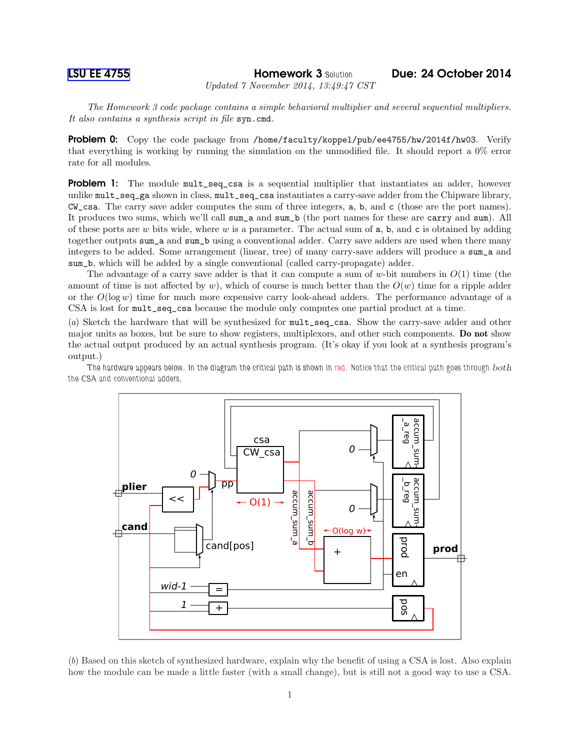[LSU EE 4755](http://www.ece.lsu.edu/koppel/v/) Homework 3 *Solution* Due: 24 October 2014

*Updated 7 November 2014, 13:49:47 CST*

*The Homework 3 code package contains a simple behavioral multiplier and several sequential multipliers. It also contains a synthesis script in file* syn.cmd*.*

Problem 0: Copy the code package from /home/faculty/koppel/pub/ee4755/hw/2014f/hw03. Verify that everything is working by running the simulation on the unmodified file. It should report a 0% error rate for all modules.

**Problem 1:** The module mult\_seq\_csa is a sequential multiplier that instantiates an adder, however unlike mult\_seq\_ga shown in class, mult\_seq\_csa instantiates a carry-save adder from the Chipware library, CW\_csa. The carry save adder computes the sum of three integers, a, b, and c (those are the port names). It produces two sums, which we'll call sum\_a and sum\_b (the port names for these are carry and sum). All of these ports are  $w$  bits wide, where  $w$  is a parameter. The actual sum of  $a$ ,  $b$ , and  $c$  is obtained by adding together outputs sum\_a and sum\_b using a conventional adder. Carry save adders are used when there many integers to be added. Some arrangement (linear, tree) of many carry-save adders will produce a sum\_a and sum\_b, which will be added by a single conventional (called carry-propagate) adder.

The advantage of a carry save adder is that it can compute a sum of w-bit numbers in  $O(1)$  time (the amount of time is not affected by w), which of course is much better than the  $O(w)$  time for a ripple adder or the  $O(\log w)$  time for much more expensive carry look-ahead adders. The performance advantage of a CSA is lost for mult\_seq\_csa because the module only computes one partial product at a time.

(*a*) Sketch the hardware that will be synthesized for mult\_seq\_csa. Show the carry-save adder and other major units as boxes, but be sure to show registers, multiplexors, and other such components. Do not show the actual output produced by an actual synthesis program. (It's okay if you look at a synthesis program's output.)

*The hardware appears below. In the diagram the critical path is shown in red. Notice that the critical path goes through* both *the CSA and conventional adders.*



(*b*) Based on this sketch of synthesized hardware, explain why the benefit of using a CSA is lost. Also explain how the module can be made a little faster (with a small change), but is still not a good way to use a CSA.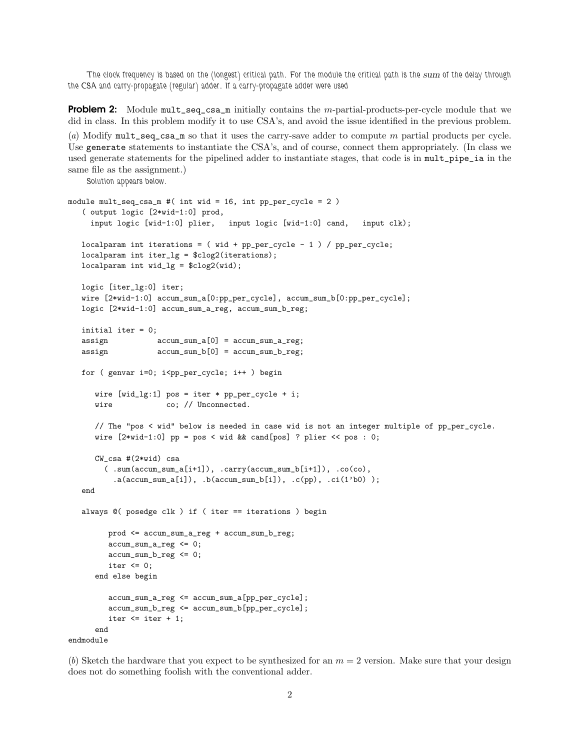*The clock frequency is based on the (longest) critical path. For the module the critical path is the* sum *of the delay through the CSA and carry-propagate (regular) adder. If a carry-propagate adder were used*

**Problem 2:** Module  $\text{mult\_seq\_csa\_m}$  initially contains the m-partial-products-per-cycle module that we did in class. In this problem modify it to use CSA's, and avoid the issue identified in the previous problem.

(*a*) Modify mult\_seq\_csa\_m so that it uses the carry-save adder to compute m partial products per cycle. Use generate statements to instantiate the CSA's, and of course, connect them appropriately. (In class we used generate statements for the pipelined adder to instantiate stages, that code is in mult\_pipe\_ia in the same file as the assignment.)

*Solution appears below.*

```
module mult_seq_csa_m #( int wid = 16, int pp_per_cycle = 2 )
   ( output logic [2*wid-1:0] prod,
     input logic [wid-1:0] plier, input logic [wid-1:0] cand, input clk);
   localparam int iterations = (wid + pp_{per\_cycle} - 1) / pp_{per\_cycle};
   localparam int iter_lg = $clog2(iterations);
   localparam int wid_lg = $clog2(wid);
   logic [iter_lg:0] iter;
   wire [2*wid-1:0] accum_sum_a[0:pp_per_cycle], accum_sum_b[0:pp_per_cycle];
   logic [2*wid-1:0] accum_sum_a_reg, accum_sum_b_reg;
   initial iter = 0;
   assign accum_sum_a[0] = accum_sum_a_reg;
   assign accum_sum_b[0] = accum_sum_b_reg;
   for ( genvar i=0; i<pp_per_cycle; i++ ) begin
      wire [wid_1g:1] pos = iter * pp_per_cycle + i;
      wire co; // Unconnected.
      // The "pos < wid" below is needed in case wid is not an integer multiple of pp_per_cycle.
      wire [2*wid-1:0] pp = pos < wid && cand[pos] ? plier << pos : 0;
      CW csa #(2*wid) csa
        (\texttt{sum}(\texttt{accum\_sum\_a[i+1]}), \texttt{carry}(\texttt{accum\_sum\_b[i+1]}), \texttt{.co}(\texttt{co}),a(acum_sum_a[i]), b(accum_sum_b[i]), c(pp), c(i(b0));
   end
   always @( posedge clk ) if ( iter == iterations ) begin
         prod <= accum_sum_a_reg + accum_sum_b_reg;
         accum_sum_a_reg <= 0;
         accum_sum_b_reg <= 0;
         iter \leq 0;
      end else begin
         accum_sum_a_reg <= accum_sum_a[pp_per_cycle];
         accum_sum_b_reg <= accum_sum_b[pp_per_cycle];
         iter \leq iter + 1;
      end
endmodule
```
(b) Sketch the hardware that you expect to be synthesized for an  $m = 2$  version. Make sure that your design does not do something foolish with the conventional adder.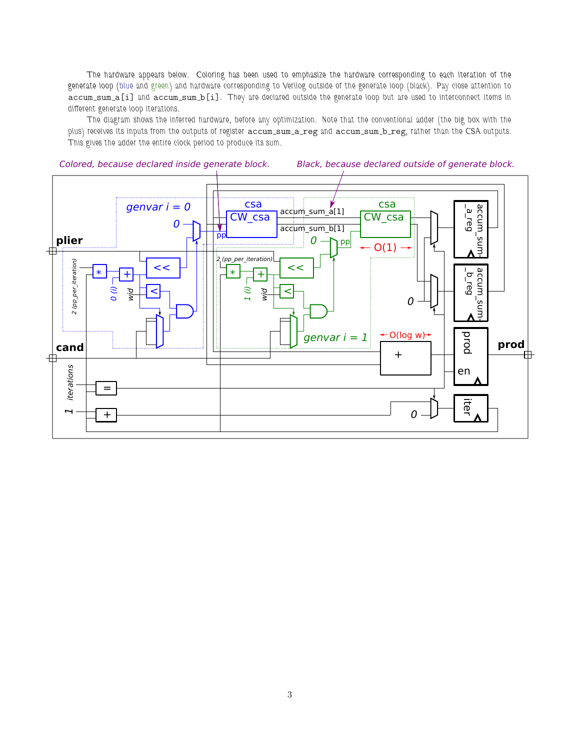*The hardware appears below. Coloring has been used to emphasize the hardware corresponding to each iteration of the generate loop (blue and green) and hardware corresponding to Verilog outside of the generate loop (black). Pay close attention to* accum sum a[i] *and* accum sum b[i]*. They are declared outside the generate loop but are used to interconnect items in different generate loop iterations.*

*The diagram shows the inferred hardware, before any optimization. Note that the conventional adder (the big box with the plus) receives its inputs from the outputs of register* accum sum a reg *and* accum sum b reg*, rather than the CSA outputs. This gives the adder the entire clock period to produce its sum.*



Colored, because declared inside generate block. Black, because declared outside of generate block.